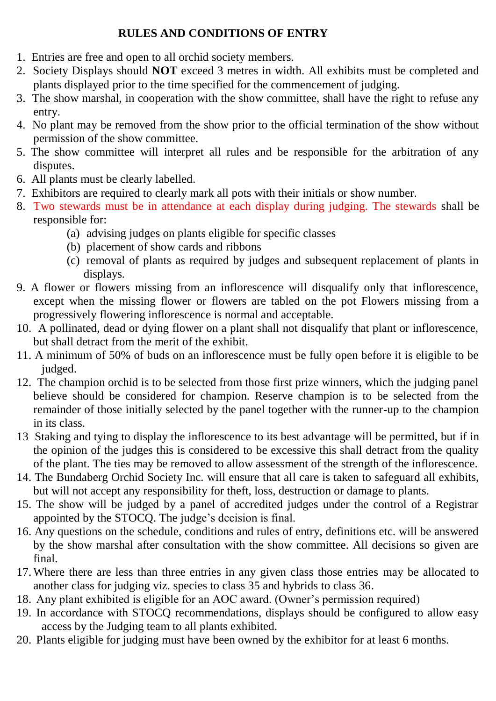#### **RULES AND CONDITIONS OF ENTRY**

- 1. Entries are free and open to all orchid society members.
- 2. Society Displays should **NOT** exceed 3 metres in width. All exhibits must be completed and plants displayed prior to the time specified for the commencement of judging.
- 3. The show marshal, in cooperation with the show committee, shall have the right to refuse any entry.
- 4. No plant may be removed from the show prior to the official termination of the show without permission of the show committee.
- 5. The show committee will interpret all rules and be responsible for the arbitration of any disputes.
- 6. All plants must be clearly labelled.
- 7. Exhibitors are required to clearly mark all pots with their initials or show number.
- 8. Two stewards must be in attendance at each display during judging. The stewards shall be responsible for:
	- (a) advising judges on plants eligible for specific classes
	- (b) placement of show cards and ribbons
	- (c) removal of plants as required by judges and subsequent replacement of plants in displays.
- 9. A flower or flowers missing from an inflorescence will disqualify only that inflorescence, except when the missing flower or flowers are tabled on the pot Flowers missing from a progressively flowering inflorescence is normal and acceptable.
- 10. A pollinated, dead or dying flower on a plant shall not disqualify that plant or inflorescence, but shall detract from the merit of the exhibit.
- 11. A minimum of 50% of buds on an inflorescence must be fully open before it is eligible to be judged.
- 12. The champion orchid is to be selected from those first prize winners, which the judging panel believe should be considered for champion. Reserve champion is to be selected from the remainder of those initially selected by the panel together with the runner-up to the champion in its class.
- 13 Staking and tying to display the inflorescence to its best advantage will be permitted, but if in the opinion of the judges this is considered to be excessive this shall detract from the quality of the plant. The ties may be removed to allow assessment of the strength of the inflorescence.
- 14. The Bundaberg Orchid Society Inc. will ensure that all care is taken to safeguard all exhibits, but will not accept any responsibility for theft, loss, destruction or damage to plants.
- 15. The show will be judged by a panel of accredited judges under the control of a Registrar appointed by the STOCQ. The judge's decision is final.
- 16. Any questions on the schedule, conditions and rules of entry, definitions etc. will be answered by the show marshal after consultation with the show committee. All decisions so given are final.
- 17. Where there are less than three entries in any given class those entries may be allocated to another class for judging viz. species to class 35 and hybrids to class 36.
- 18. Any plant exhibited is eligible for an AOC award. (Owner's permission required)
- 19. In accordance with STOCQ recommendations, displays should be configured to allow easy access by the Judging team to all plants exhibited.
- 20. Plants eligible for judging must have been owned by the exhibitor for at least 6 months.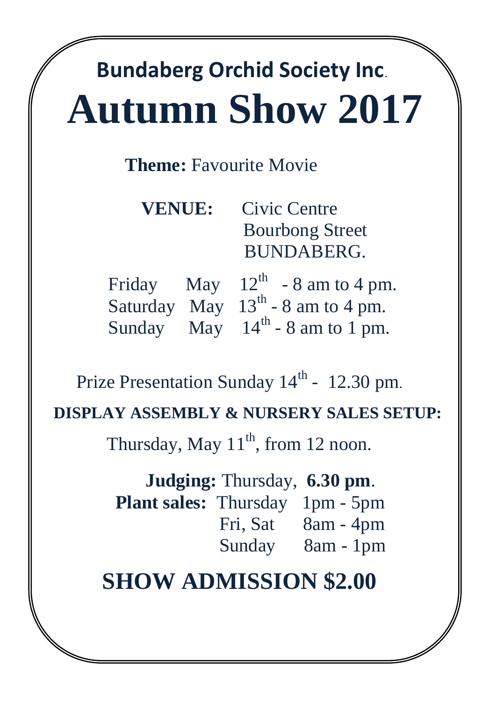# **Bundaberg Orchid Society Inc Autumn Show 2017**

## **Theme:** Favourite Movie

|  |  | <b>VENUE:</b> Civic Centre           |
|--|--|--------------------------------------|
|  |  | <b>Bourbong Street</b>               |
|  |  | <b>BUNDABERG.</b>                    |
|  |  | Friday May $12^{th}$ - 8 am to 4 pm. |

|  | $1.11$ uay $14.1$ $12 - 5$ all to $4$ pin. |
|--|--------------------------------------------|
|  | Saturday May $13^{th}$ - 8 am to 4 pm.     |
|  | Sunday May $14th - 8$ am to 1 pm.          |

Prize Presentation Sunday  $14<sup>th</sup>$  - 12.30 pm.

### **DISPLAY ASSEMBLY & NURSERY SALES SETUP:**

Thursday, May  $11<sup>th</sup>$ , from 12 noon.

**Judging:** Thursday, **6.30 pm**.  **Plant sales:** Thursday 1pm - 5pm Fri, Sat 8am - 4pm Sunday 8am - 1pm

# **SHOW ADMISSION \$2.00**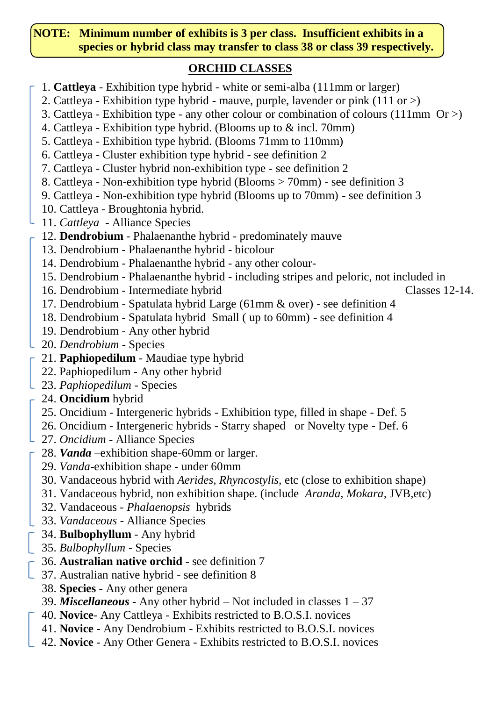#### **NOTE: Minimum number of exhibits is 3 per class. Insufficient exhibits in a species or hybrid class may transfer to class 38 or class 39 respectively.**

#### **ORCHID CLASSES**

- 1. **Cattleya** Exhibition type hybrid white or semi-alba (111mm or larger)
- 2. Cattleya Exhibition type hybrid mauve, purple, lavender or pink (111 or >)
- 3. Cattleya Exhibition type any other colour or combination of colours (111mm Or >)
- 4. Cattleya Exhibition type hybrid. (Blooms up to & incl. 70mm)
- 5. Cattleya Exhibition type hybrid. (Blooms 71mm to 110mm)
- 6. Cattleya Cluster exhibition type hybrid see definition 2
- 7. Cattleya Cluster hybrid non-exhibition type see definition 2
- 8. Cattleya Non-exhibition type hybrid (Blooms > 70mm) see definition 3
- 9. Cattleya Non-exhibition type hybrid (Blooms up to 70mm) see definition 3
- 10. Cattleya Broughtonia hybrid.
- 11. *Cattleya* Alliance Species
- 12. **Dendrobium** Phalaenanthe hybrid predominately mauve
- 13. Dendrobium Phalaenanthe hybrid bicolour
- 14. Dendrobium Phalaenanthe hybrid any other colour-
- 15. Dendrobium Phalaenanthe hybrid including stripes and peloric, not included in
- 16. Dendrobium Intermediate hybrid Classes 12-14.
- 17. Dendrobium Spatulata hybrid Large (61mm & over) see definition 4
- 18. Dendrobium Spatulata hybrid Small ( up to 60mm) see definition 4
- 19. Dendrobium Any other hybrid
- 20. *Dendrobium* Species
- 21. **Paphiopedilum** Maudiae type hybrid
- 22. Paphiopedilum Any other hybrid
- 23. *Paphiopedilum* Species
- 24. **Oncidium** hybrid
- 25. Oncidium Intergeneric hybrids Exhibition type, filled in shape Def. 5
- 26. Oncidium Intergeneric hybrids Starry shaped or Novelty type Def. 6
- 27. *Oncidium* Alliance Species
- 28. *Vanda* –exhibition shape-60mm or larger.
	- 29. *Vanda*-exhibition shape under 60mm
	- 30. Vandaceous hybrid with *Aerides, Rhyncostylis,* etc (close to exhibition shape)
	- 31. Vandaceous hybrid, non exhibition shape. (include *Aranda, Mokara,* JVB,etc)
	- 32. Vandaceous *- Phalaenopsis* hybrids
- 33. *Vandaceous* Alliance Species
- 34. **Bulbophyllum** Any hybrid
- 35. *Bulbophyllum* Species
- 36. **Australian native orchid** see definition 7
- 1 37. Australian native hybrid see definition 8
	- 38. **Species** Any other genera
	- 39. *Miscellaneous* Any other hybrid Not included in classes 1 37
	- 40. **Novice** Any Cattleya Exhibits restricted to B.O.S.I. novices
	- 41. **Novice** Any Dendrobium Exhibits restricted to B.O.S.I. novices
	- 42. **Novice**  Any Other Genera Exhibits restricted to B.O.S.I. novices